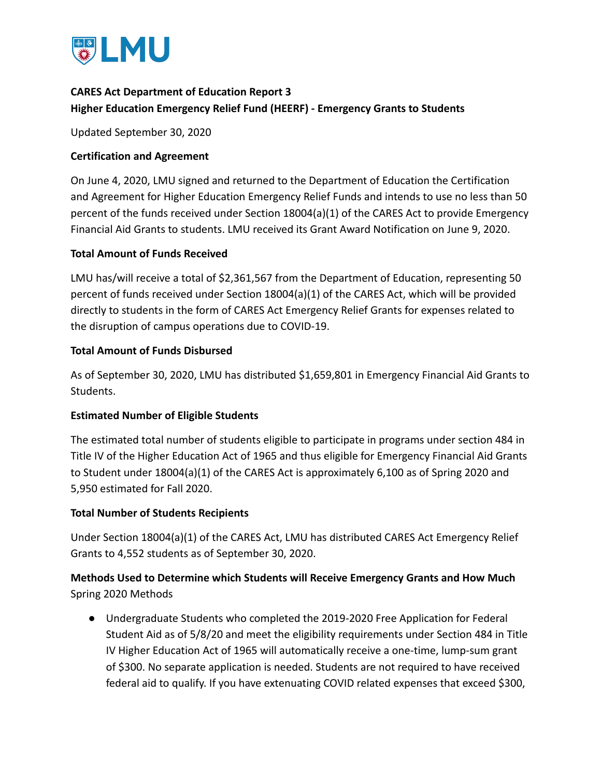

## **CARES Act Department of Education Report 3 Higher Education Emergency Relief Fund (HEERF) - Emergency Grants to Students**

Updated September 30, 2020

## **Certification and Agreement**

On June 4, 2020, LMU signed and returned to the Department of Education the Certification and Agreement for Higher Education Emergency Relief Funds and intends to use no less than 50 percent of the funds received under Section 18004(a)(1) of the CARES Act to provide Emergency Financial Aid Grants to students. LMU received its Grant Award Notification on June 9, 2020.

## **Total Amount of Funds Received**

LMU has/will receive a total of \$2,361,567 from the Department of Education, representing 50 percent of funds received under Section 18004(a)(1) of the CARES Act, which will be provided directly to students in the form of CARES Act Emergency Relief Grants for expenses related to the disruption of campus operations due to COVID-19.

#### **Total Amount of Funds Disbursed**

As of September 30, 2020, LMU has distributed \$1,659,801 in Emergency Financial Aid Grants to Students.

## **Estimated Number of Eligible Students**

The estimated total number of students eligible to participate in programs under section 484 in Title IV of the Higher Education Act of 1965 and thus eligible for Emergency Financial Aid Grants to Student under 18004(a)(1) of the CARES Act is approximately 6,100 as of Spring 2020 and 5,950 estimated for Fall 2020.

#### **Total Number of Students Recipients**

Under Section 18004(a)(1) of the CARES Act, LMU has distributed CARES Act Emergency Relief Grants to 4,552 students as of September 30, 2020.

## **Methods Used to Determine which Students will Receive Emergency Grants and How Much** Spring 2020 Methods

● Undergraduate Students who completed the 2019-2020 Free Application for Federal Student Aid as of 5/8/20 and meet the eligibility requirements under Section 484 in Title IV Higher Education Act of 1965 will automatically receive a one-time, lump-sum grant of \$300. No separate application is needed. Students are not required to have received federal aid to qualify. If you have extenuating COVID related expenses that exceed \$300,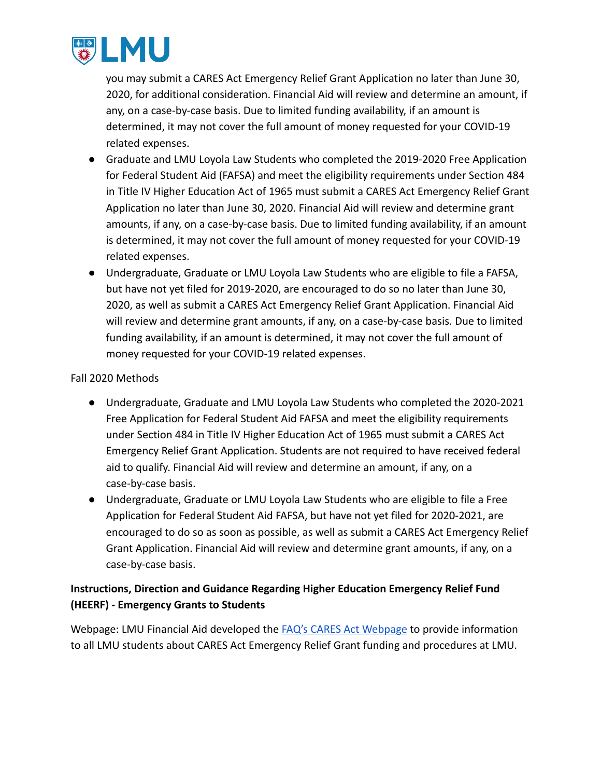

you may submit a CARES Act Emergency Relief Grant Application no later than June 30, 2020, for additional consideration. Financial Aid will review and determine an amount, if any, on a case-by-case basis. Due to limited funding availability, if an amount is determined, it may not cover the full amount of money requested for your COVID-19 related expenses.

- Graduate and LMU Loyola Law Students who completed the 2019-2020 Free Application for Federal Student Aid (FAFSA) and meet the eligibility requirements under Section 484 in Title IV Higher Education Act of 1965 must submit a CARES Act Emergency Relief Grant Application no later than June 30, 2020. Financial Aid will review and determine grant amounts, if any, on a case-by-case basis. Due to limited funding availability, if an amount is determined, it may not cover the full amount of money requested for your COVID-19 related expenses.
- Undergraduate, Graduate or LMU Loyola Law Students who are eligible to file a FAFSA, but have not yet filed for 2019-2020, are encouraged to do so no later than June 30, 2020, as well as submit a CARES Act Emergency Relief Grant Application. Financial Aid will review and determine grant amounts, if any, on a case-by-case basis. Due to limited funding availability, if an amount is determined, it may not cover the full amount of money requested for your COVID-19 related expenses.

## Fall 2020 Methods

- Undergraduate, Graduate and LMU Loyola Law Students who completed the 2020-2021 Free Application for Federal Student Aid FAFSA and meet the eligibility requirements under Section 484 in Title IV Higher Education Act of 1965 must submit a CARES Act Emergency Relief Grant Application. Students are not required to have received federal aid to qualify. Financial Aid will review and determine an amount, if any, on a case-by-case basis.
- Undergraduate, Graduate or LMU Loyola Law Students who are eligible to file a Free Application for Federal Student Aid FAFSA, but have not yet filed for 2020-2021, are encouraged to do so as soon as possible, as well as submit a CARES Act Emergency Relief Grant Application. Financial Aid will review and determine grant amounts, if any, on a case-by-case basis.

# **Instructions, Direction and Guidance Regarding Higher Education Emergency Relief Fund (HEERF) - Emergency Grants to Students**

Webpage: LMU Financial Aid developed the FAQ's CARES [Act Webpage](https://financialaid.lmu.edu/current/caresactemergencyreliefgrant/) to provide information to all LMU students about CARES Act Emergency Relief Grant funding and procedures at LMU.